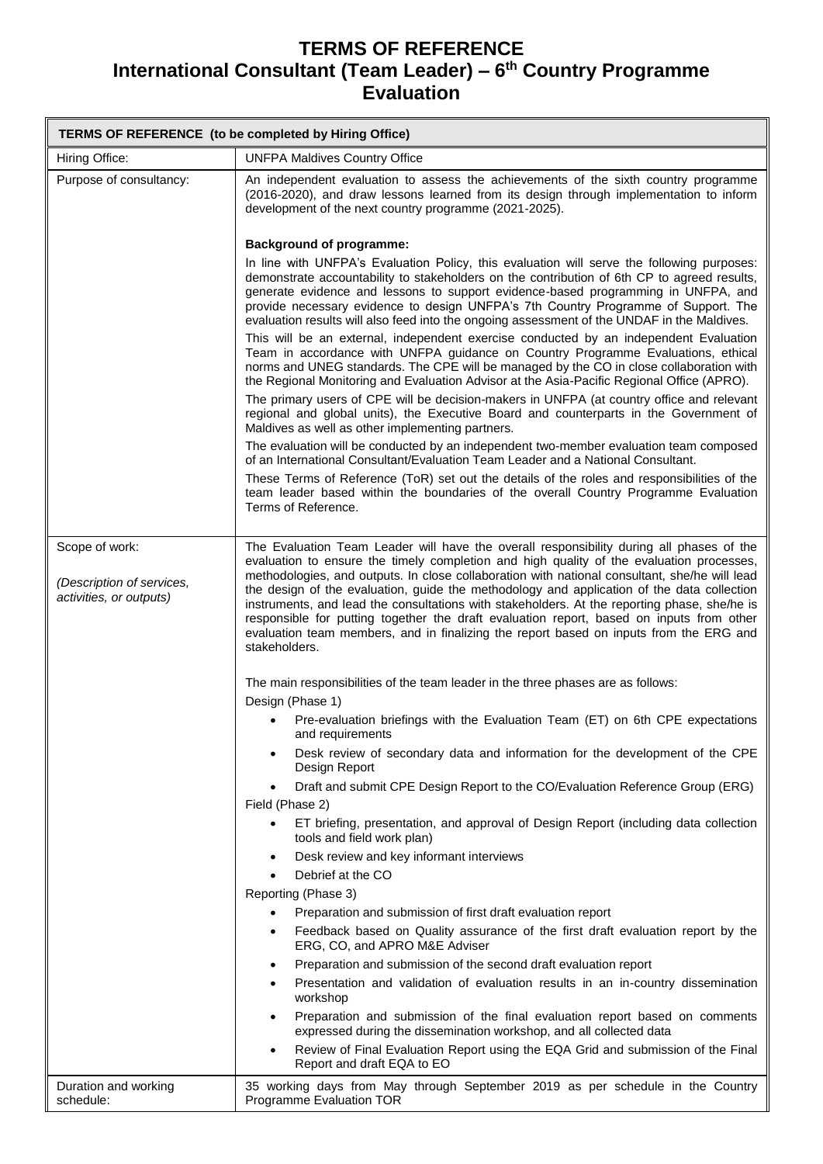## **TERMS OF REFERENCE International Consultant (Team Leader) – 6 th Country Programme Evaluation**

| TERMS OF REFERENCE (to be completed by Hiring Office) |                                                                                                                                                                                                                                                                                                                                                                                                                                                                                                                                                                                                |  |
|-------------------------------------------------------|------------------------------------------------------------------------------------------------------------------------------------------------------------------------------------------------------------------------------------------------------------------------------------------------------------------------------------------------------------------------------------------------------------------------------------------------------------------------------------------------------------------------------------------------------------------------------------------------|--|
| Hiring Office:                                        | <b>UNFPA Maldives Country Office</b>                                                                                                                                                                                                                                                                                                                                                                                                                                                                                                                                                           |  |
| Purpose of consultancy:                               | An independent evaluation to assess the achievements of the sixth country programme<br>(2016-2020), and draw lessons learned from its design through implementation to inform<br>development of the next country programme (2021-2025).                                                                                                                                                                                                                                                                                                                                                        |  |
|                                                       | <b>Background of programme:</b>                                                                                                                                                                                                                                                                                                                                                                                                                                                                                                                                                                |  |
|                                                       | In line with UNFPA's Evaluation Policy, this evaluation will serve the following purposes:<br>demonstrate accountability to stakeholders on the contribution of 6th CP to agreed results,<br>generate evidence and lessons to support evidence-based programming in UNFPA, and<br>provide necessary evidence to design UNFPA's 7th Country Programme of Support. The<br>evaluation results will also feed into the ongoing assessment of the UNDAF in the Maldives.                                                                                                                            |  |
|                                                       | This will be an external, independent exercise conducted by an independent Evaluation<br>Team in accordance with UNFPA guidance on Country Programme Evaluations, ethical<br>norms and UNEG standards. The CPE will be managed by the CO in close collaboration with<br>the Regional Monitoring and Evaluation Advisor at the Asia-Pacific Regional Office (APRO).                                                                                                                                                                                                                             |  |
|                                                       | The primary users of CPE will be decision-makers in UNFPA (at country office and relevant<br>regional and global units), the Executive Board and counterparts in the Government of<br>Maldives as well as other implementing partners.                                                                                                                                                                                                                                                                                                                                                         |  |
|                                                       | The evaluation will be conducted by an independent two-member evaluation team composed<br>of an International Consultant/Evaluation Team Leader and a National Consultant.                                                                                                                                                                                                                                                                                                                                                                                                                     |  |
|                                                       | These Terms of Reference (ToR) set out the details of the roles and responsibilities of the<br>team leader based within the boundaries of the overall Country Programme Evaluation<br>Terms of Reference.                                                                                                                                                                                                                                                                                                                                                                                      |  |
| Scope of work:                                        | The Evaluation Team Leader will have the overall responsibility during all phases of the                                                                                                                                                                                                                                                                                                                                                                                                                                                                                                       |  |
| (Description of services,<br>activities, or outputs)  | evaluation to ensure the timely completion and high quality of the evaluation processes,<br>methodologies, and outputs. In close collaboration with national consultant, she/he will lead<br>the design of the evaluation, guide the methodology and application of the data collection<br>instruments, and lead the consultations with stakeholders. At the reporting phase, she/he is<br>responsible for putting together the draft evaluation report, based on inputs from other<br>evaluation team members, and in finalizing the report based on inputs from the ERG and<br>stakeholders. |  |
|                                                       | The main responsibilities of the team leader in the three phases are as follows:<br>Design (Phase 1)                                                                                                                                                                                                                                                                                                                                                                                                                                                                                           |  |
|                                                       | Pre-evaluation briefings with the Evaluation Team (ET) on 6th CPE expectations<br>and requirements                                                                                                                                                                                                                                                                                                                                                                                                                                                                                             |  |
|                                                       | Desk review of secondary data and information for the development of the CPE<br>٠<br>Design Report                                                                                                                                                                                                                                                                                                                                                                                                                                                                                             |  |
|                                                       | Draft and submit CPE Design Report to the CO/Evaluation Reference Group (ERG)<br>$\bullet$                                                                                                                                                                                                                                                                                                                                                                                                                                                                                                     |  |
|                                                       | Field (Phase 2)<br>ET briefing, presentation, and approval of Design Report (including data collection<br>$\bullet$<br>tools and field work plan)                                                                                                                                                                                                                                                                                                                                                                                                                                              |  |
|                                                       | Desk review and key informant interviews<br>$\bullet$                                                                                                                                                                                                                                                                                                                                                                                                                                                                                                                                          |  |
|                                                       | Debrief at the CO<br>$\bullet$                                                                                                                                                                                                                                                                                                                                                                                                                                                                                                                                                                 |  |
|                                                       | Reporting (Phase 3)                                                                                                                                                                                                                                                                                                                                                                                                                                                                                                                                                                            |  |
|                                                       | Preparation and submission of first draft evaluation report                                                                                                                                                                                                                                                                                                                                                                                                                                                                                                                                    |  |
|                                                       | Feedback based on Quality assurance of the first draft evaluation report by the<br>$\bullet$<br>ERG, CO, and APRO M&E Adviser                                                                                                                                                                                                                                                                                                                                                                                                                                                                  |  |
|                                                       | Preparation and submission of the second draft evaluation report<br>٠                                                                                                                                                                                                                                                                                                                                                                                                                                                                                                                          |  |
|                                                       | Presentation and validation of evaluation results in an in-country dissemination<br>$\bullet$<br>workshop                                                                                                                                                                                                                                                                                                                                                                                                                                                                                      |  |
|                                                       | Preparation and submission of the final evaluation report based on comments<br>$\bullet$<br>expressed during the dissemination workshop, and all collected data                                                                                                                                                                                                                                                                                                                                                                                                                                |  |
|                                                       | Review of Final Evaluation Report using the EQA Grid and submission of the Final<br>$\bullet$<br>Report and draft EQA to EO                                                                                                                                                                                                                                                                                                                                                                                                                                                                    |  |
| Duration and working<br>schedule:                     | 35 working days from May through September 2019 as per schedule in the Country<br>Programme Evaluation TOR                                                                                                                                                                                                                                                                                                                                                                                                                                                                                     |  |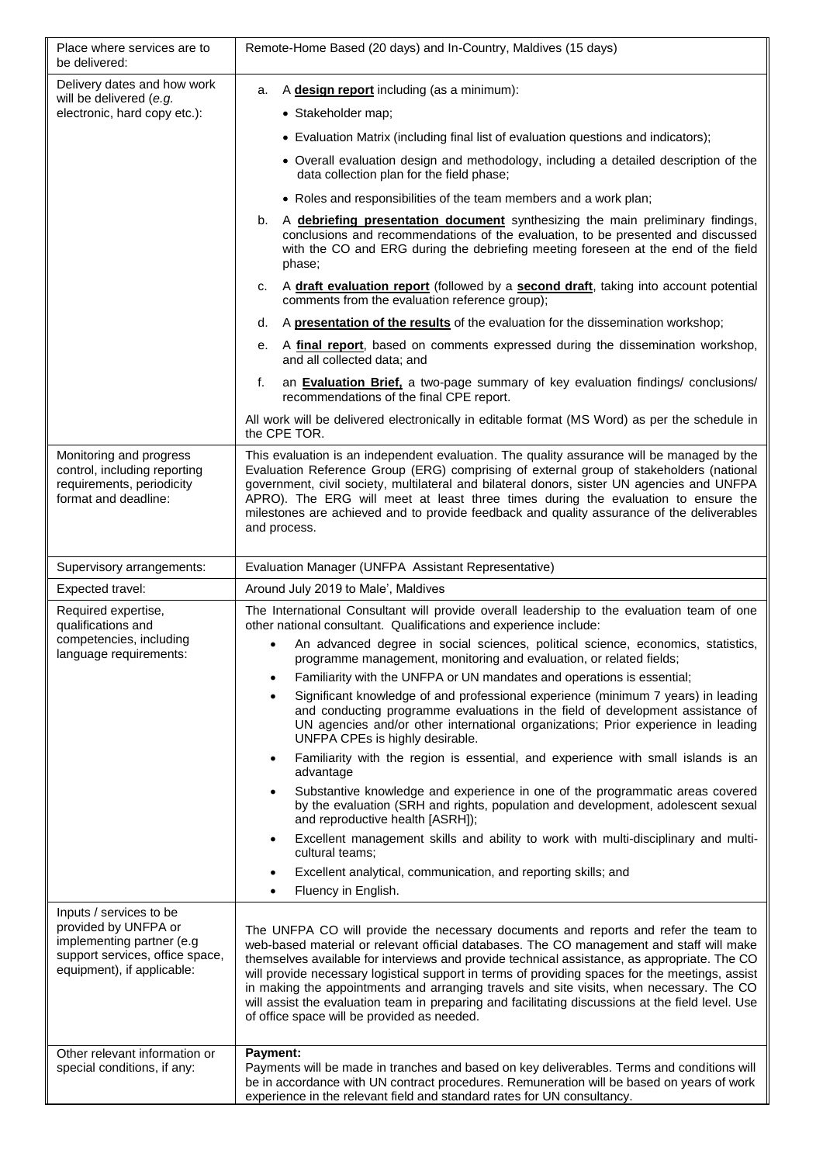| Place where services are to<br>be delivered:                                                                                                  | Remote-Home Based (20 days) and In-Country, Maldives (15 days)                                                                                                                                                                                                                                                                                                                                                                                                                                                                                                                                                                                                                                                                                                                                                                                                                                                                                                                                                                                                                                                                                                                                                                                                                   |
|-----------------------------------------------------------------------------------------------------------------------------------------------|----------------------------------------------------------------------------------------------------------------------------------------------------------------------------------------------------------------------------------------------------------------------------------------------------------------------------------------------------------------------------------------------------------------------------------------------------------------------------------------------------------------------------------------------------------------------------------------------------------------------------------------------------------------------------------------------------------------------------------------------------------------------------------------------------------------------------------------------------------------------------------------------------------------------------------------------------------------------------------------------------------------------------------------------------------------------------------------------------------------------------------------------------------------------------------------------------------------------------------------------------------------------------------|
| Delivery dates and how work<br>will be delivered (e.g.<br>electronic, hard copy etc.):                                                        | A design report including (as a minimum):<br>a.<br>• Stakeholder map;<br>• Evaluation Matrix (including final list of evaluation questions and indicators);<br>• Overall evaluation design and methodology, including a detailed description of the<br>data collection plan for the field phase;<br>• Roles and responsibilities of the team members and a work plan;<br>A debriefing presentation document synthesizing the main preliminary findings,<br>b.<br>conclusions and recommendations of the evaluation, to be presented and discussed<br>with the CO and ERG during the debriefing meeting foreseen at the end of the field<br>phase;<br>A draft evaluation report (followed by a second draft, taking into account potential<br>с.<br>comments from the evaluation reference group);<br>A presentation of the results of the evaluation for the dissemination workshop;<br>d.<br>A final report, based on comments expressed during the dissemination workshop,<br>е.<br>and all collected data; and<br>an <b>Evaluation Brief</b> , a two-page summary of key evaluation findings/ conclusions/<br>f.<br>recommendations of the final CPE report.<br>All work will be delivered electronically in editable format (MS Word) as per the schedule in<br>the CPE TOR. |
| Monitoring and progress<br>control, including reporting<br>requirements, periodicity<br>format and deadline:                                  | This evaluation is an independent evaluation. The quality assurance will be managed by the<br>Evaluation Reference Group (ERG) comprising of external group of stakeholders (national<br>government, civil society, multilateral and bilateral donors, sister UN agencies and UNFPA<br>APRO). The ERG will meet at least three times during the evaluation to ensure the<br>milestones are achieved and to provide feedback and quality assurance of the deliverables<br>and process.                                                                                                                                                                                                                                                                                                                                                                                                                                                                                                                                                                                                                                                                                                                                                                                            |
| Supervisory arrangements:                                                                                                                     | Evaluation Manager (UNFPA Assistant Representative)                                                                                                                                                                                                                                                                                                                                                                                                                                                                                                                                                                                                                                                                                                                                                                                                                                                                                                                                                                                                                                                                                                                                                                                                                              |
| Expected travel:                                                                                                                              | Around July 2019 to Male', Maldives                                                                                                                                                                                                                                                                                                                                                                                                                                                                                                                                                                                                                                                                                                                                                                                                                                                                                                                                                                                                                                                                                                                                                                                                                                              |
| Required expertise,<br>qualifications and<br>competencies, including<br>language requirements:                                                | The International Consultant will provide overall leadership to the evaluation team of one<br>other national consultant. Qualifications and experience include:<br>An advanced degree in social sciences, political science, economics, statistics,<br>programme management, monitoring and evaluation, or related fields;<br>Familiarity with the UNFPA or UN mandates and operations is essential;<br>$\bullet$<br>Significant knowledge of and professional experience (minimum 7 years) in leading<br>$\bullet$<br>and conducting programme evaluations in the field of development assistance of<br>UN agencies and/or other international organizations; Prior experience in leading<br>UNFPA CPEs is highly desirable.<br>Familiarity with the region is essential, and experience with small islands is an<br>$\bullet$<br>advantage<br>Substantive knowledge and experience in one of the programmatic areas covered<br>$\bullet$<br>by the evaluation (SRH and rights, population and development, adolescent sexual<br>and reproductive health [ASRH]);<br>Excellent management skills and ability to work with multi-disciplinary and multi-<br>$\bullet$<br>cultural teams;<br>Excellent analytical, communication, and reporting skills; and<br>$\bullet$          |
|                                                                                                                                               | Fluency in English.<br>$\bullet$                                                                                                                                                                                                                                                                                                                                                                                                                                                                                                                                                                                                                                                                                                                                                                                                                                                                                                                                                                                                                                                                                                                                                                                                                                                 |
| Inputs / services to be<br>provided by UNFPA or<br>implementing partner (e.g<br>support services, office space,<br>equipment), if applicable: | The UNFPA CO will provide the necessary documents and reports and refer the team to<br>web-based material or relevant official databases. The CO management and staff will make<br>themselves available for interviews and provide technical assistance, as appropriate. The CO<br>will provide necessary logistical support in terms of providing spaces for the meetings, assist<br>in making the appointments and arranging travels and site visits, when necessary. The CO<br>will assist the evaluation team in preparing and facilitating discussions at the field level. Use<br>of office space will be provided as needed.                                                                                                                                                                                                                                                                                                                                                                                                                                                                                                                                                                                                                                               |
| Other relevant information or<br>special conditions, if any:                                                                                  | Payment:<br>Payments will be made in tranches and based on key deliverables. Terms and conditions will<br>be in accordance with UN contract procedures. Remuneration will be based on years of work<br>experience in the relevant field and standard rates for UN consultancy.                                                                                                                                                                                                                                                                                                                                                                                                                                                                                                                                                                                                                                                                                                                                                                                                                                                                                                                                                                                                   |